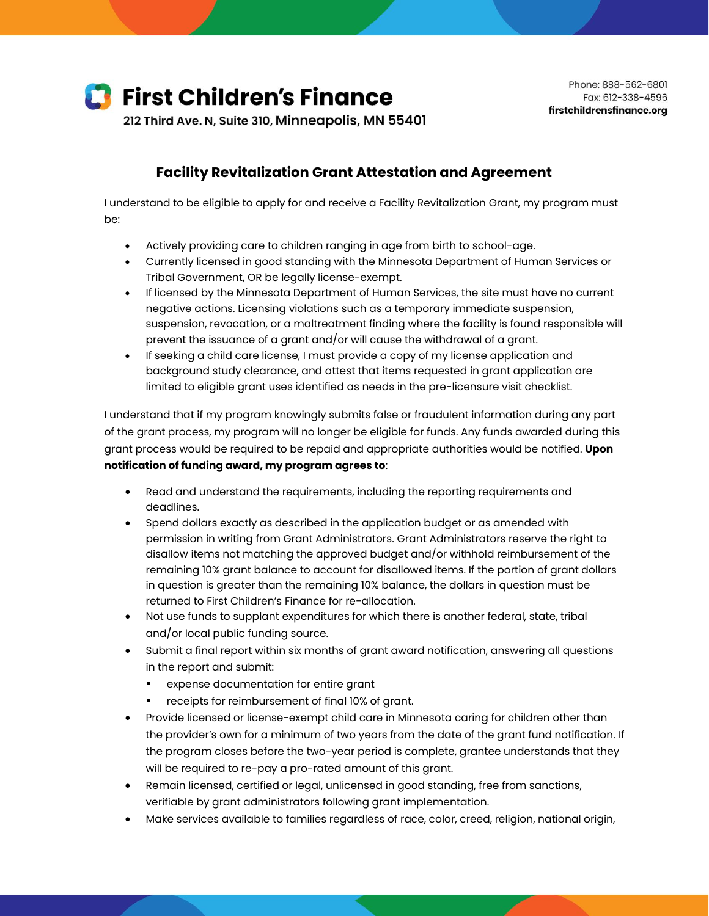

212 Third Ave. N, Suite 310, Minneapolis, MN 55401

## **Facility Revitalization Grant Attestation and Agreement**

I understand to be eligible to apply for and receive a Facility Revitalization Grant, my program must be:

- Actively providing care to children ranging in age from birth to school-age.
- Currently licensed in good standing with the Minnesota Department of Human Services or Tribal Government, OR be legally license-exempt.
- If licensed by the Minnesota Department of Human Services, the site must have no current negative actions. Licensing violations such as a temporary immediate suspension, suspension, revocation, or a maltreatment finding where the facility is found responsible will prevent the issuance of a grant and/or will cause the withdrawal of a grant.
- If seeking a child care license, I must provide a copy of my license application and background study clearance, and attest that items requested in grant application are limited to eligible grant uses identified as needs in the pre-licensure visit checklist.

I understand that if my program knowingly submits false or fraudulent information during any part of the grant process, my program will no longer be eligible for funds. Any funds awarded during this grant process would be required to be repaid and appropriate authorities would be notified. **Upon notification of funding award, my program agrees to**:

- Read and understand the requirements, including the reporting requirements and deadlines.
- Spend dollars exactly as described in the application budget or as amended with permission in writing from Grant Administrators. Grant Administrators reserve the right to disallow items not matching the approved budget and/or withhold reimbursement of the remaining 10% grant balance to account for disallowed items. If the portion of grant dollars in question is greater than the remaining 10% balance, the dollars in question must be returned to First Children's Finance for re-allocation.
- Not use funds to supplant expenditures for which there is another federal, state, tribal and/or local public funding source.
- Submit a final report within six months of grant award notification, answering all questions in the report and submit:
	- expense documentation for entire grant
	- receipts for reimbursement of final 10% of grant.
- Provide licensed or license-exempt child care in Minnesota caring for children other than the provider's own for a minimum of two years from the date of the grant fund notification. If the program closes before the two-year period is complete, grantee understands that they will be required to re-pay a pro-rated amount of this grant.
- Remain licensed, certified or legal, unlicensed in good standing, free from sanctions, verifiable by grant administrators following grant implementation.
- Make services available to families regardless of race, color, creed, religion, national origin,